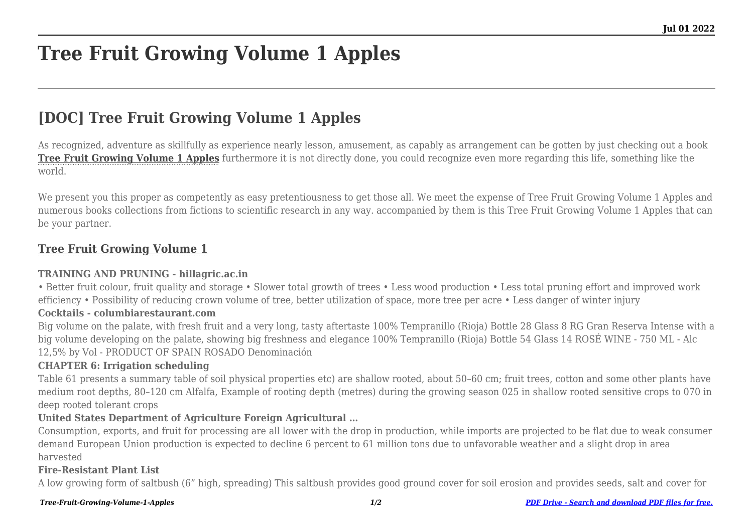# **Tree Fruit Growing Volume 1 Apples**

## **[DOC] Tree Fruit Growing Volume 1 Apples**

As recognized, adventure as skillfully as experience nearly lesson, amusement, as capably as arrangement can be gotten by just checking out a book **[Tree Fruit Growing Volume 1 Apples](http://theknottedllama.com)** furthermore it is not directly done, you could recognize even more regarding this life, something like the world.

We present you this proper as competently as easy pretentiousness to get those all. We meet the expense of Tree Fruit Growing Volume 1 Apples and numerous books collections from fictions to scientific research in any way. accompanied by them is this Tree Fruit Growing Volume 1 Apples that can be your partner.

#### **[Tree Fruit Growing Volume 1](http://theknottedllama.com/Tree-Fruit-Growing-Volume-1-Apples.pdf)**

#### **TRAINING AND PRUNING - hillagric.ac.in**

• Better fruit colour, fruit quality and storage • Slower total growth of trees • Less wood production • Less total pruning effort and improved work efficiency • Possibility of reducing crown volume of tree, better utilization of space, more tree per acre • Less danger of winter injury

#### **Cocktails - columbiarestaurant.com**

Big volume on the palate, with fresh fruit and a very long, tasty aftertaste 100% Tempranillo (Rioja) Bottle 28 Glass 8 RG Gran Reserva Intense with a big volume developing on the palate, showing big freshness and elegance 100% Tempranillo (Rioja) Bottle 54 Glass 14 ROSÉ WINE - 750 ML - Alc 12,5% by Vol - PRODUCT OF SPAIN ROSADO Denominación

#### **CHAPTER 6: Irrigation scheduling**

Table 61 presents a summary table of soil physical properties etc) are shallow rooted, about 50–60 cm; fruit trees, cotton and some other plants have medium root depths, 80–120 cm Alfalfa, Example of rooting depth (metres) during the growing season 025 in shallow rooted sensitive crops to 070 in deep rooted tolerant crops

#### **United States Department of Agriculture Foreign Agricultural …**

Consumption, exports, and fruit for processing are all lower with the drop in production, while imports are projected to be flat due to weak consumer demand European Union production is expected to decline 6 percent to 61 million tons due to unfavorable weather and a slight drop in area harvested

#### **Fire-Resistant Plant List**

A low growing form of saltbush (6" high, spreading) This saltbush provides good ground cover for soil erosion and provides seeds, salt and cover for